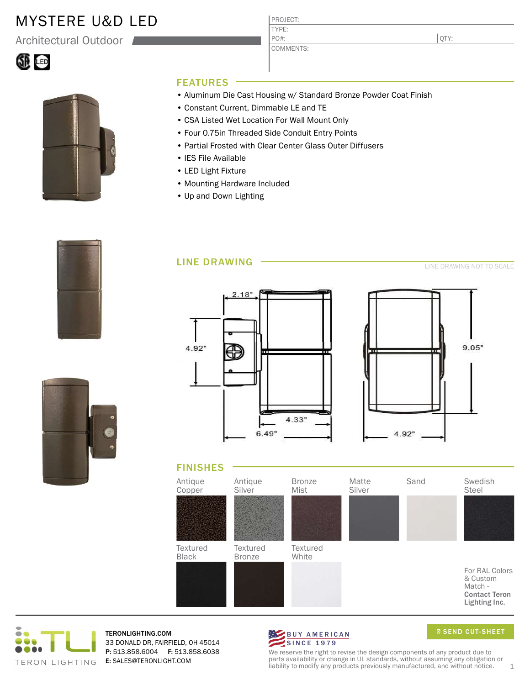## MYSTERE U&D LED

Architectural Outdoor





#### FEATURES

- Aluminum Die Cast Housing w/ Standard Bronze Powder Coat Finish
- Constant Current, Dimmable LE and TE
- CSA Listed Wet Location For Wall Mount Only
- Four 0.75in Threaded Side Conduit Entry Points
- Partial Frosted with Clear Center Glass Outer Diffusers

PROJECT: TYPE:

PO#:

COMMENTS:

- IES File Available
- LED Light Fixture
- Mounting Hardware Included
- Up and Down Lighting

LINE DRAWING









#### FINISHES





TERONLIGHTING.COM 33 DONALD DR, FAIRFIELD, OH 45014 P: 513.858.6004 F: 513.858.6038 E: SALES@TERONLIGHT.COM



**Ø SEND CUT-SHEET** 

We reserve the right to revise the design components of any product due to parts availability or change in UL standards, without assuming any obligation or liability to modify any products previously manufactured, and without notice. 1

QTY: